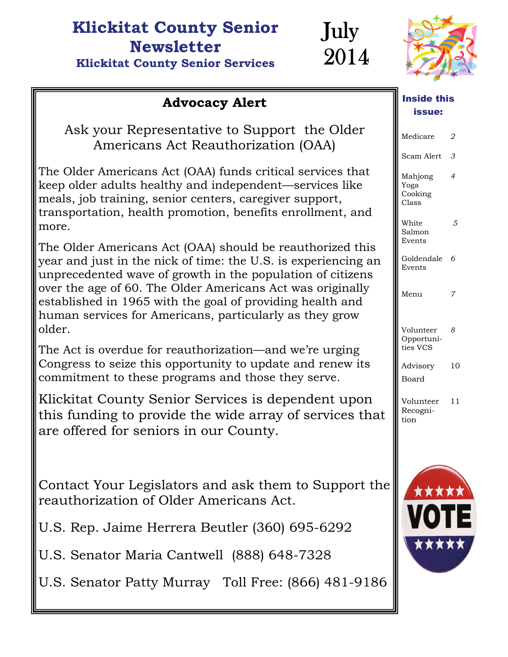#### **Klickitat County Senior Newsletter Klickitat County Senior Services**



July

2014

## Advocacy Alert **industrial in the Series intervalse in the Advocacy Alert**

Ask your Representative to Support the Older Americans Act Reauthorization (OAA)

The Older Americans Act (OAA) funds critical services that keep older adults healthy and independent—services like meals, job training, senior centers, caregiver support, transportation, health promotion, benefits enrollment, and more.

The Older Americans Act (OAA) should be reauthorized this year and just in the nick of time: the U.S. is experiencing an unprecedented wave of growth in the population of citizens over the age of 60. The Older Americans Act was originally established in 1965 with the goal of providing health and human services for Americans, particularly as they grow older.

The Act is overdue for reauthorization—and we're urging Congress to seize this opportunity to update and renew its commitment to these programs and those they serve.

Klickitat County Senior Services is dependent upon this funding to provide the wide array of services that are offered for seniors in our County.

Contact Your Legislators and ask them to Support the reauthorization of Older Americans Act.

U.S. Rep. Jaime Herrera Beutler (360) 695-6292

U.S. Senator Maria Cantwell (888) 648-7328

U.S. Senator Patty Murray Toll Free: (866) 481-9186

# Inside this

| Medicare                            | 2              |
|-------------------------------------|----------------|
| Scam Alert                          | 3              |
| Mahjong<br>Yoga<br>Cooking<br>Class | $\overline{4}$ |
| White<br>Salmon<br>Events           | 5              |
| Goldendale<br>Events                | 6              |
| Menu                                | 7              |
| Volunteer<br>Opportuni-<br>ties VCS | 8              |
| Advisory<br><b>Board</b>            | 10             |
| Volunteer<br>Recogni-<br>tion       | 11             |
| ★★★★★<br>N                          |                |

\*\*\*\*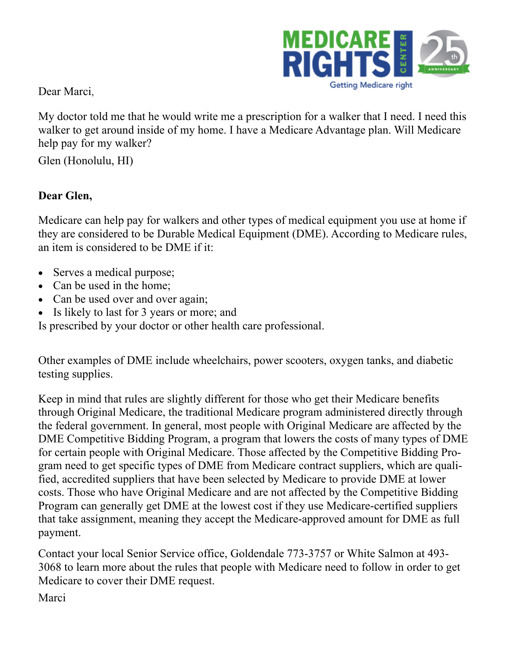

Dear Marci,

My doctor told me that he would write me a prescription for a walker that I need. I need this walker to get around inside of my home. I have a Medicare Advantage plan. Will Medicare help pay for my walker?

Glen (Honolulu, HI)

#### **Dear Glen,**

Medicare can help pay for walkers and other types of medical equipment you use at home if they are considered to be [Durable Medical Equipment \(DME\).](http://e.medicarerights-email.org/l.jsp?d=10810.894829.1282.0q2dz9dA.A&ln=http%3A%2F%2Fwww.medicareinteractive.org%2Fpage2.php%3Ftopic%3Dcounselor%26page%3Dglossary%23dme) According to Medicare rules, an item is considered to be DME if it:

- Serves a medical purpose;
- Can be used in the home;
- Can be used over and over again;
- Is likely to last for 3 years or more; and

Is prescribed by your doctor or other health care professional.

Other examples of DME include wheelchairs, power scooters, oxygen tanks, and diabetic testing supplies.

Keep in mind that rules are slightly different for those who get their [Medicare](http://e.medicarerights-email.org/l.jsp?d=10810.894835.1282.0q2dz9dA.A&ln=http%3A%2F%2Fwww.medicareinteractive.org%2Fpage2.php%3Ftopic%3Dcounselor%26page%3Dglossary%23medicare) benefits through [Original Medicare](http://e.medicarerights-email.org/l.jsp?d=10810.894836.1282.0q2dz9dA.A&ln=http%3A%2F%2Fwww.medicareinteractive.org%2Fpage2.php%3Ftopic%3Dcounselor%26page%3Dscript%26slide_id%3D1679), the traditional Medicare program administered directly through the federal government. In general, most people with [Original Medicare](http://e.medicarerights-email.org/l.jsp?d=10810.894837.1282.0q2dz9dA.A&ln=http%3A%2F%2Fwww.medicareinteractive.org%2Fpage2.php%3Ftopic%3Dcounselor%26page%3Dglossary%23om) are affected by [the](http://e.medicarerights-email.org/l.jsp?d=10810.894838.1282.0q2dz9dA.A&ln=http%3A%2F%2Fwww.medicareinteractive.org%2Fpage2.php%3Ftopic%3Dcounselor%26page%3Dscript%26slide_id%3D1531)  [DME Competitive Bidding Program](http://e.medicarerights-email.org/l.jsp?d=10810.894838.1282.0q2dz9dA.A&ln=http%3A%2F%2Fwww.medicareinteractive.org%2Fpage2.php%3Ftopic%3Dcounselor%26page%3Dscript%26slide_id%3D1531), a program that lowers the costs of many types of DME for certain people with Original Medicare. Those affected by the Competitive Bidding Program need to get specific types of DME from Medicare contract suppliers, which are qualified, accredited suppliers that have been selected by Medicare to provide DME at lower costs. Those who have Original Medicare and are not affected by the Competitive Bidding Program can generally get DME at the lowest cost if they use Medicare-certified suppliers that [take assignment](http://e.medicarerights-email.org/l.jsp?d=10810.894839.1282.0q2dz9dA.A&ln=http%3A%2F%2Fwww.medicareinteractive.org%2Fpage2.php%3Ftopic%3Dcounselor%26page%3Dglossary%23takeassignment), meaning they accept the Medicare-approved amount for DME as full payment.

Contact your local Senior Service office, Goldendale 773-3757 or White Salmon at 493- 3068 to learn more about the rules that people with Medicare need to follow in order to get Medicare to cover their DME request.

Marci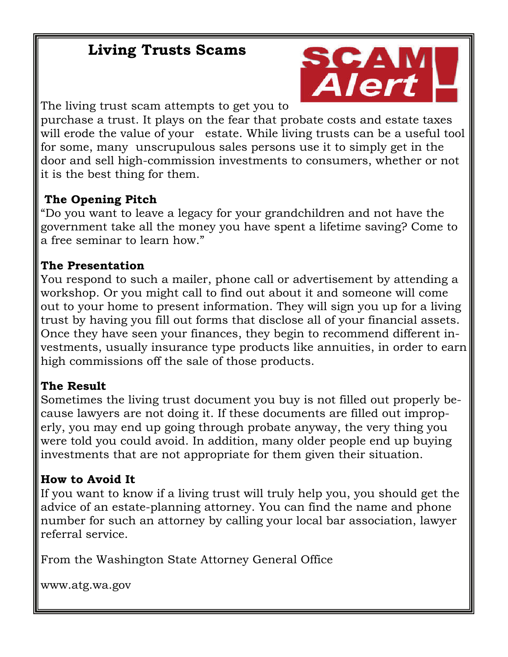### **Living Trusts Scams**



The living trust scam attempts to get you to

purchase a trust. It plays on the fear that probate costs and estate taxes will erode the value of your estate. While living trusts can be a useful tool for some, many unscrupulous sales persons use it to simply get in the door and sell high-commission investments to consumers, whether or not it is the best thing for them.

#### **The Opening Pitch**

"Do you want to leave a legacy for your grandchildren and not have the government take all the money you have spent a lifetime saving? Come to a free seminar to learn how."

#### **The Presentation**

You respond to such a mailer, phone call or advertisement by attending a workshop. Or you might call to find out about it and someone will come out to your home to present information. They will sign you up for a living trust by having you fill out forms that disclose all of your financial assets. Once they have seen your finances, they begin to recommend different investments, usually insurance type products like annuities, in order to earn high commissions off the sale of those products.

#### **The Result**

Sometimes the living trust document you buy is not filled out properly because lawyers are not doing it. If these documents are filled out improperly, you may end up going through probate anyway, the very thing you were told you could avoid. In addition, many older people end up buying investments that are not appropriate for them given their situation.

#### **How to Avoid It**

If you want to know if a living trust will truly help you, you should get the advice of an estate-planning attorney. You can find the name and phone number for such an attorney by calling your local bar association, lawyer referral service.

From the Washington State Attorney General Office

www.atg.wa.gov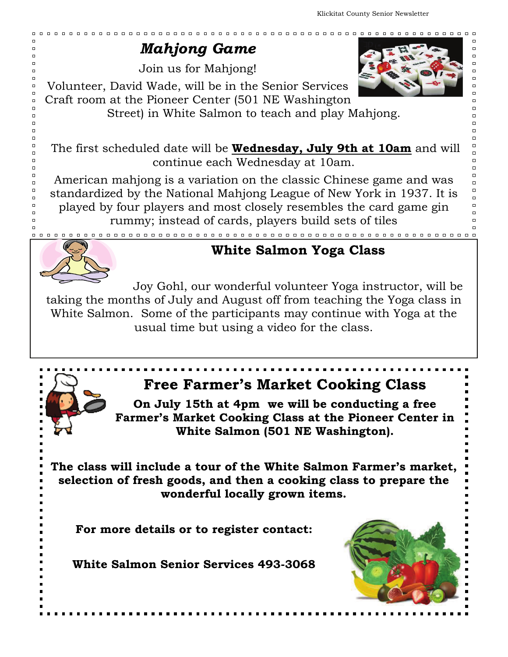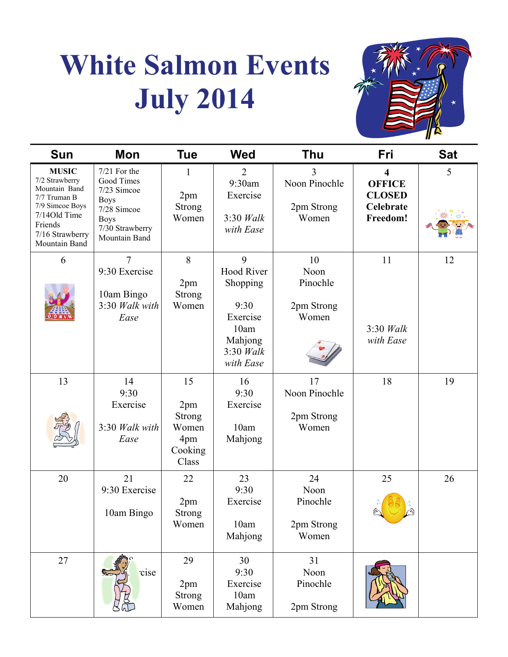# **White Salmon Events July 2014**



| <b>Sun</b>                                                                                                                                        | Mon                                                                                                                          | <b>Tue</b>                                                     | <b>Wed</b>                                                                                            | <b>Thu</b>                                    | Fri                                                                 | <b>Sat</b> |
|---------------------------------------------------------------------------------------------------------------------------------------------------|------------------------------------------------------------------------------------------------------------------------------|----------------------------------------------------------------|-------------------------------------------------------------------------------------------------------|-----------------------------------------------|---------------------------------------------------------------------|------------|
| <b>MUSIC</b><br>7/2 Strawberry<br>Mountain Band<br>7/7 Truman B<br>7/9 Simcoe Boys<br>7/14Old Time<br>Friends<br>7/16 Strawberry<br>Mountain Band | $7/21$ For the<br>Good Times<br>7/23 Simcoe<br><b>Boys</b><br>7/28 Simcoe<br><b>Boys</b><br>7/30 Strawberry<br>Mountain Band | 1<br>2pm<br><b>Strong</b><br>Women                             | $\overline{2}$<br>9:30am<br>Exercise<br>$3:30$ Walk<br>with Ease                                      | 3<br>Noon Pinochle<br>2pm Strong<br>Women     | 4<br><b>OFFICE</b><br><b>CLOSED</b><br><b>Celebrate</b><br>Freedom! | 5          |
| 6                                                                                                                                                 | 7<br>9:30 Exercise<br>10am Bingo<br>3:30 Walk with<br>Ease                                                                   | 8<br>2pm<br><b>Strong</b><br>Women                             | 9<br><b>Hood River</b><br>Shopping<br>9:30<br>Exercise<br>10am<br>Mahjong<br>$3:30$ Walk<br>with Ease | 10<br>Noon<br>Pinochle<br>2pm Strong<br>Women | 11<br>$3:30$ Walk<br>with Ease                                      | 12         |
| 13                                                                                                                                                | 14<br>9:30<br>Exercise<br>3:30 Walk with<br>Ease                                                                             | 15<br>2pm<br><b>Strong</b><br>Women<br>4pm<br>Cooking<br>Class | 16<br>9:30<br>Exercise<br>10am<br>Mahjong                                                             | 17<br>Noon Pinochle<br>2pm Strong<br>Women    | 18                                                                  | 19         |
| 20                                                                                                                                                | 21<br>9:30 Exercise<br>10am Bingo                                                                                            | 22<br>2pm<br>Strong<br>Women                                   | 23<br>9:30<br>Exercise<br>10am<br>Mahjong                                                             | 24<br>Noon<br>Pinochle<br>2pm Strong<br>Women | 25                                                                  | 26         |
| 27                                                                                                                                                | cise                                                                                                                         | 29<br>2pm<br><b>Strong</b><br>Women                            | 30<br>9:30<br>Exercise<br>10am<br>Mahjong                                                             | 31<br>Noon<br>Pinochle<br>2pm Strong          |                                                                     |            |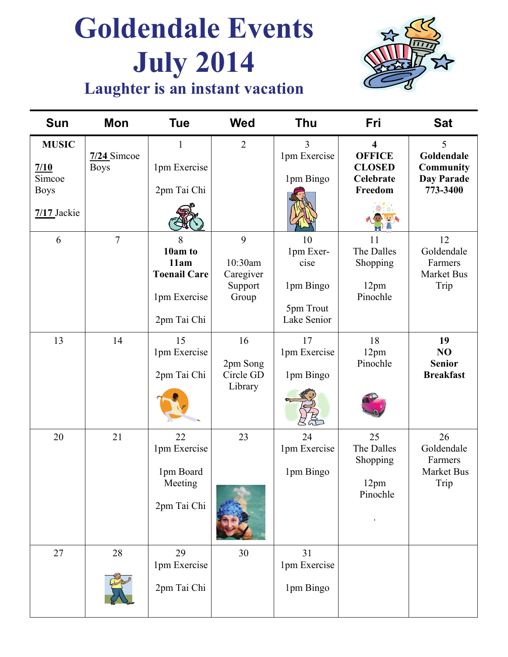# **Goldendale Events July 2014**



## **Laughter is an instant vacation**

| Sun                                                            | Mon                          | Tue                                                                        | <b>Wed</b>                                    | <b>Thu</b>                                                       | Fri                                                                               | <b>Sat</b>                                                    |
|----------------------------------------------------------------|------------------------------|----------------------------------------------------------------------------|-----------------------------------------------|------------------------------------------------------------------|-----------------------------------------------------------------------------------|---------------------------------------------------------------|
| <b>MUSIC</b><br>7/10<br>Simcoe<br><b>Boys</b><br>$7/17$ Jackie | $7/24$ Simcoe<br><b>Boys</b> | $\mathbf{1}$<br>1pm Exercise<br>2pm Tai Chi                                | $\overline{2}$                                | 3<br>1pm Exercise<br>1pm Bingo                                   | $\overline{\mathbf{4}}$<br><b>OFFICE</b><br><b>CLOSED</b><br>Celebrate<br>Freedom | 5<br>Goldendale<br><b>Community</b><br>Day Parade<br>773-3400 |
| 6                                                              | $\overline{7}$               | 8<br>10am to<br>11am<br><b>Toenail Care</b><br>1pm Exercise<br>2pm Tai Chi | 9<br>10:30am<br>Caregiver<br>Support<br>Group | 10<br>1pm Exer-<br>cise<br>1pm Bingo<br>5pm Trout<br>Lake Senior | 11<br>The Dalles<br>Shopping<br>12pm<br>Pinochle                                  | 12<br>Goldendale<br>Farmers<br><b>Market Bus</b><br>Trip      |
| 13                                                             | 14                           | 15<br>1pm Exercise<br>2pm Tai Chi                                          | 16<br>2pm Song<br>Circle GD<br>Library        | 17<br>1pm Exercise<br>1pm Bingo                                  | 18<br>12pm<br>Pinochle                                                            | 19<br>NO<br><b>Senior</b><br><b>Breakfast</b>                 |
| 20                                                             | 21                           | 22<br>1pm Exercise<br>1pm Board<br>Meeting<br>2pm Tai Chi                  | 23                                            | 24<br>1pm Exercise<br>1pm Bingo                                  | 25<br>The Dalles<br>Shopping<br>12pm<br>Pinochle                                  | 26<br>Goldendale<br>Farmers<br>Market Bus<br>Trip             |
| 27                                                             | 28                           | 29<br>1pm Exercise<br>2pm Tai Chi                                          | 30                                            | 31<br>1pm Exercise<br>1pm Bingo                                  |                                                                                   |                                                               |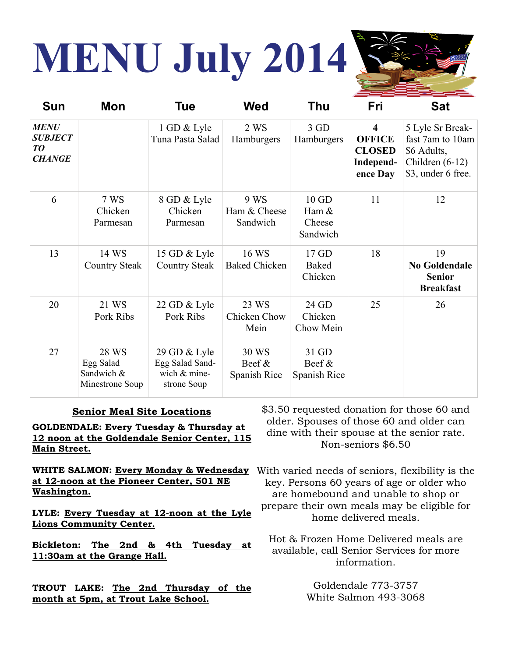# **MENU July 2014**



| Sun                                                  | Mon                                                 | Tue                                                            | Wed                                | Thu                                      | Fri                                                                                | <b>Sat</b>                                                                                     |
|------------------------------------------------------|-----------------------------------------------------|----------------------------------------------------------------|------------------------------------|------------------------------------------|------------------------------------------------------------------------------------|------------------------------------------------------------------------------------------------|
| <b>MENU</b><br><b>SUBJECT</b><br>TO<br><b>CHANGE</b> |                                                     | 1 GD & Lyle<br>Tuna Pasta Salad                                | 2 WS<br>Hamburgers                 | 3 GD<br>Hamburgers                       | $\overline{\mathbf{4}}$<br><b>OFFICE</b><br><b>CLOSED</b><br>Independ-<br>ence Day | 5 Lyle Sr Break-<br>fast 7am to 10am<br>\$6 Adults,<br>Children $(6-12)$<br>\$3, under 6 free. |
| 6                                                    | 7 WS<br>Chicken<br>Parmesan                         | 8 GD & Lyle<br>Chicken<br>Parmesan                             | 9 WS<br>Ham & Cheese<br>Sandwich   | $10$ GD<br>Ham $&$<br>Cheese<br>Sandwich | 11                                                                                 | 12                                                                                             |
| 13                                                   | 14 WS<br><b>Country Steak</b>                       | 15 GD & Lyle<br><b>Country Steak</b>                           | 16 WS<br><b>Baked Chicken</b>      | 17 GD<br>Baked<br>Chicken                | 18                                                                                 | 19<br><b>No Goldendale</b><br><b>Senior</b><br><b>Breakfast</b>                                |
| 20                                                   | 21 WS<br>Pork Ribs                                  | 22 GD & Lyle<br>Pork Ribs                                      | 23 WS<br>Chicken Chow<br>Mein      | 24 GD<br>Chicken<br>Chow Mein            | 25                                                                                 | 26                                                                                             |
| 27                                                   | 28 WS<br>Egg Salad<br>Sandwich &<br>Minestrone Soup | 29 GD & Lyle<br>Egg Salad Sand-<br>wich & mine-<br>strone Soup | 30 WS<br>Beef $\&$<br>Spanish Rice | 31 GD<br>Beef $\&$<br>Spanish Rice       |                                                                                    |                                                                                                |

#### **Senior Meal Site Locations**

**GOLDENDALE: Every Tuesday & Thursday at 12 noon at the Goldendale Senior Center, 115 Main Street.**

**at 12-noon at the Pioneer Center, 501 NE Washington.** 

**LYLE: Every Tuesday at 12-noon at the Lyle Lions Community Center.**

**Bickleton: The 2nd & 4th Tuesday at 11:30am at the Grange Hall.**

**TROUT LAKE: The 2nd Thursday of the month at 5pm, at Trout Lake School.**

\$3.50 requested donation for those 60 and older. Spouses of those 60 and older can dine with their spouse at the senior rate. Non-seniors \$6.50

**WHITE SALMON: Every Monday & Wednesday**  With varied needs of seniors, flexibility is the key. Persons 60 years of age or older who are homebound and unable to shop or prepare their own meals may be eligible for home delivered meals.

> Hot & Frozen Home Delivered meals are available, call Senior Services for more information.

> > Goldendale 773-3757 White Salmon 493-3068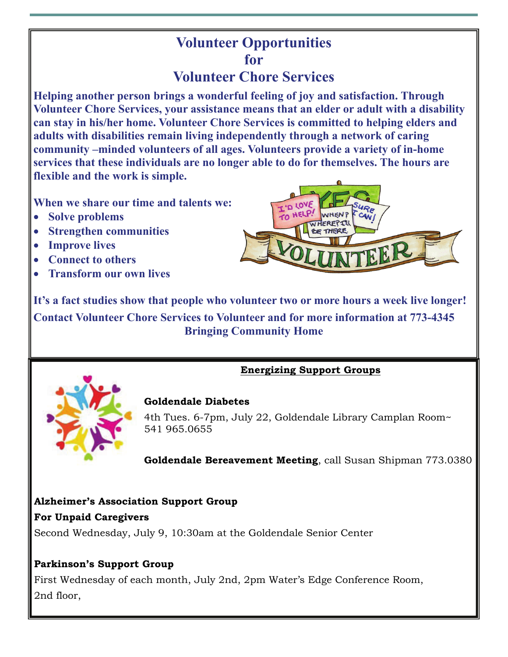# **Volunteer Opportunities for**

#### **Volunteer Chore Services**

**Helping another person brings a wonderful feeling of joy and satisfaction. Through Volunteer Chore Services, your assistance means that an elder or adult with a disability can stay in his/her home. Volunteer Chore Services is committed to helping elders and adults with disabilities remain living independently through a network of caring community –minded volunteers of all ages. Volunteers provide a variety of in-home services that these individuals are no longer able to do for themselves. The hours are flexible and the work is simple.** 

**When we share our time and talents we:** 

- **Solve problems**
- **Strengthen communities**
- **Improve lives**
- **Connect to others**
- **Transform our own lives**



**It's a fact studies show that people who volunteer two or more hours a week live longer! Contact Volunteer Chore Services to Volunteer and for more information at 773-4345 Bringing Community Home** 

#### **Energizing Support Groups**



#### **Goldendale Diabetes**

4th Tues. 6-7pm, July 22, Goldendale Library Camplan Room~ 541 965.0655

**Goldendale Bereavement Meeting**, call Susan Shipman 773.0380

#### **Alzheimer's Association Support Group For Unpaid Caregivers**

Second Wednesday, July 9, 10:30am at the Goldendale Senior Center

#### **Parkinson's Support Group**

First Wednesday of each month, July 2nd, 2pm Water's Edge Conference Room, 2nd floor,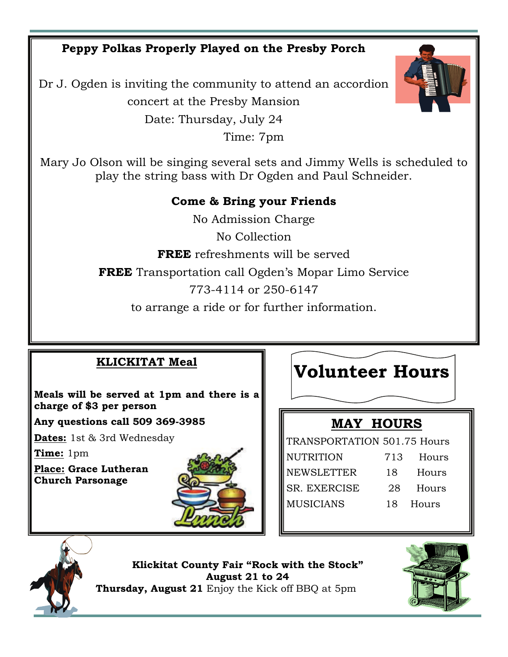**Peppy Polkas Properly Played on the Presby Porch** 

Dr J. Ogden is inviting the community to attend an accordion concert at the Presby Mansion Date: Thursday, July 24 Time: 7pm



Mary Jo Olson will be singing several sets and Jimmy Wells is scheduled to play the string bass with Dr Ogden and Paul Schneider.

#### **Come & Bring your Friends**

No Admission Charge No Collection **FREE** refreshments will be served **FREE** Transportation call Ogden's Mopar Limo Service 773-4114 or 250-6147 to arrange a ride or for further information.

#### **KLICKITAT Meal**

**Meals will be served at 1pm and there is a charge of \$3 per person** 

**Any questions call 509 369-3985** 

**Dates:** 1st & 3rd Wednesday

**Time:** 1pm

**Place: Grace Lutheran Church Parsonage** 



# **Volunteer Hours**

#### **MAY HOURS**

TRANSPORTATION 501.75 Hours NUTRITION 713 Hours NEWSLETTER 18 Hours SR. EXERCISE 28 Hours MUSICIANS 18 Hours



**Klickitat County Fair "Rock with the Stock" August 21 to 24 Thursday, August 21** Enjoy the Kick off BBQ at 5pm

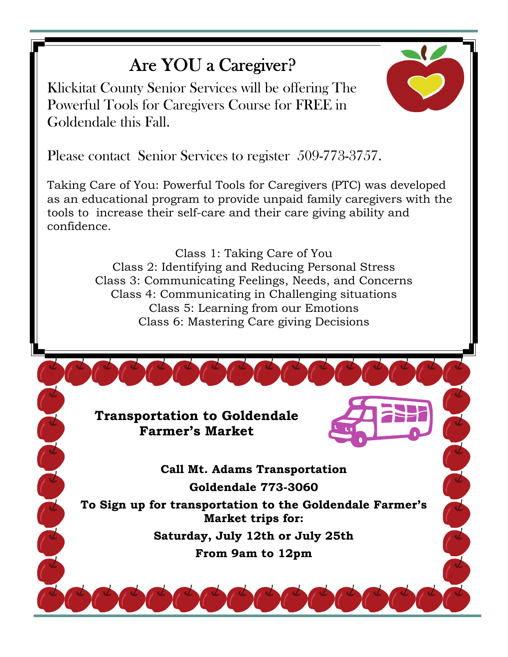# Are YOU a Caregiver?

Klickitat County Senior Services will be offering The Powerful Tools for Caregivers Course for FREE in Goldendale this Fall.



Please contact Senior Services to register 509-773-3757.

Taking Care of You: Powerful Tools for Caregivers (PTC) was developed as an educational program to provide unpaid family caregivers with the tools to increase their self-care and their care giving ability and confidence.

> Class 1: Taking Care of You Class 2: Identifying and Reducing Personal Stress Class 3: Communicating Feelings, Needs, and Concerns Class 4: Communicating in Challenging situations Class 5: Learning from our Emotions Class 6: Mastering Care giving Decisions

**Transportation to Goldendale Farmer's Market** 

C C C

**Call Mt. Adams Transportation Goldendale 773-3060** 

**To Sign up for transportation to the Goldendale Farmer's Market trips for:** 

> **Saturday, July 12th or July 25th From 9am to 12pm**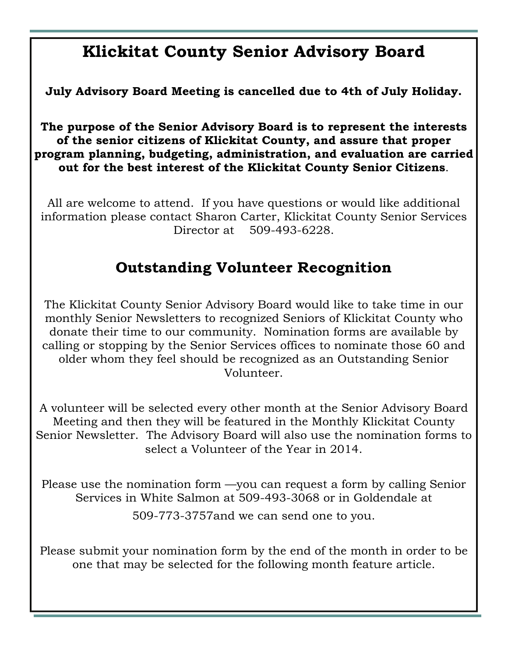# **Klickitat County Senior Advisory Board**

**July Advisory Board Meeting is cancelled due to 4th of July Holiday.** 

**The purpose of the Senior Advisory Board is to represent the interests of the senior citizens of Klickitat County, and assure that proper program planning, budgeting, administration, and evaluation are carried out for the best interest of the Klickitat County Senior Citizens**.

All are welcome to attend. If you have questions or would like additional information please contact Sharon Carter, Klickitat County Senior Services Director at 509-493-6228.

#### **Outstanding Volunteer Recognition**

The Klickitat County Senior Advisory Board would like to take time in our monthly Senior Newsletters to recognized Seniors of Klickitat County who donate their time to our community. Nomination forms are available by calling or stopping by the Senior Services offices to nominate those 60 and older whom they feel should be recognized as an Outstanding Senior Volunteer.

A volunteer will be selected every other month at the Senior Advisory Board Meeting and then they will be featured in the Monthly Klickitat County Senior Newsletter. The Advisory Board will also use the nomination forms to select a Volunteer of the Year in 2014.

Please use the nomination form —you can request a form by calling Senior Services in White Salmon at 509-493-3068 or in Goldendale at 509-773-3757and we can send one to you.

Please submit your nomination form by the end of the month in order to be one that may be selected for the following month feature article.